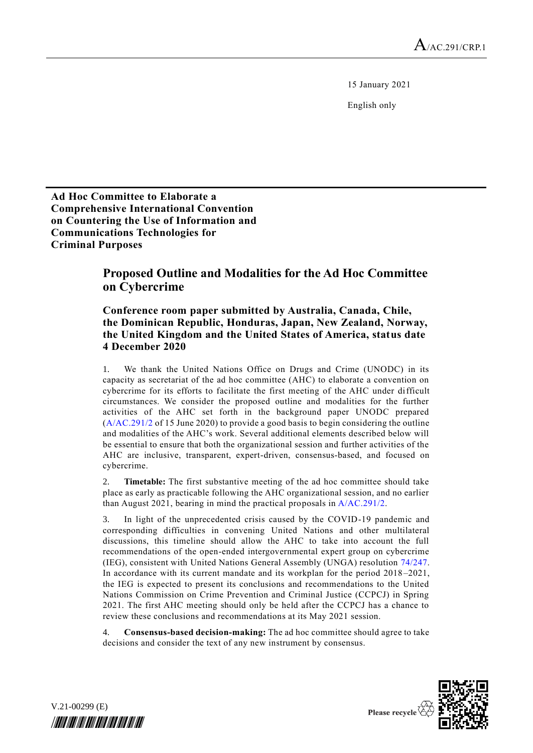15 January 2021

English only

**Ad Hoc Committee to Elaborate a Comprehensive International Convention on Countering the Use of Information and Communications Technologies for Criminal Purposes**

## **Proposed Outline and Modalities for the Ad Hoc Committee on Cybercrime**

## **Conference room paper submitted by Australia, Canada, Chile, the Dominican Republic, Honduras, Japan, New Zealand, Norway, the United Kingdom and the United States of America, status date 4 December 2020**

1. We thank the United Nations Office on Drugs and Crime (UNODC) in its capacity as secretariat of the ad hoc committee (AHC) to elaborate a convention on cybercrime for its efforts to facilitate the first meeting of the AHC under difficult circumstances. We consider the proposed outline and modalities for the further activities of the AHC set forth in the background paper UNODC prepared [\(A/AC.291/2](http://undocs.org/A/AC.291/2) of 15 June 2020) to provide a good basis to begin considering the outline and modalities of the AHC's work. Several additional elements described below will be essential to ensure that both the organizational session and further activities of the AHC are inclusive, transparent, expert-driven, consensus-based, and focused on cybercrime.

**Timetable:** The first substantive meeting of the ad hoc committee should take place as early as practicable following the AHC organizational session, and no earlier than August 2021, bearing in mind the practical proposals in [A/AC.291/2.](http://undocs.org/A/AC.291/2)

In light of the unprecedented crisis caused by the COVID-19 pandemic and corresponding difficulties in convening United Nations and other multilateral discussions, this timeline should allow the AHC to take into account the full recommendations of the open-ended intergovernmental expert group on cybercrime (IEG), consistent with United Nations General Assembly (UNGA) resolution [74/247.](http://undocs.org/A/RES/74/247) In accordance with its current mandate and its workplan for the period 2018 –2021, the IEG is expected to present its conclusions and recommendations to the United Nations Commission on Crime Prevention and Criminal Justice (CCPCJ) in Spring 2021. The first AHC meeting should only be held after the CCPCJ has a chance to review these conclusions and recommendations at its May 2021 session.

4. **Consensus-based decision-making:** The ad hoc committee should agree to take decisions and consider the text of any new instrument by consensus.